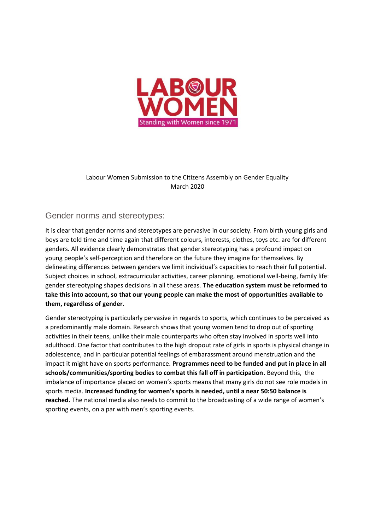

## Labour Women Submission to the Citizens Assembly on Gender Equality March 2020

## Gender norms and stereotypes:

It is clear that gender norms and stereotypes are pervasive in our society. From birth young girls and boys are told time and time again that different colours, interests, clothes, toys etc. are for different genders. All evidence clearly demonstrates that gender stereotyping has a profound impact on young people's self-perception and therefore on the future they imagine for themselves. By delineating differences between genders we limit individual's capacities to reach their full potential. Subject choices in school, extracurricular activities, career planning, emotional well-being, family life: gender stereotyping shapes decisions in all these areas. **The education system must be reformed to take this into account, so that our young people can make the most of opportunities available to them, regardless of gender.** 

Gender stereotyping is particularly pervasive in regards to sports, which continues to be perceived as a predominantly male domain. Research shows that young women tend to drop out of sporting activities in their teens, unlike their male counterparts who often stay involved in sports well into adulthood. One factor that contributes to the high dropout rate of girls in sports is physical change in adolescence, and in particular potential feelings of embarassment around menstruation and the impact it might have on sports performance. **Programmes need to be funded and put in place in all schools/communities/sporting bodies to combat this fall off in participation**. Beyond this, the imbalance of importance placed on women's sports means that many girls do not see role models in sports media. **Increased funding for women's sports is needed, until a near 50:50 balance is reached.** The national media also needs to commit to the broadcasting of a wide range of women's sporting events, on a par with men's sporting events.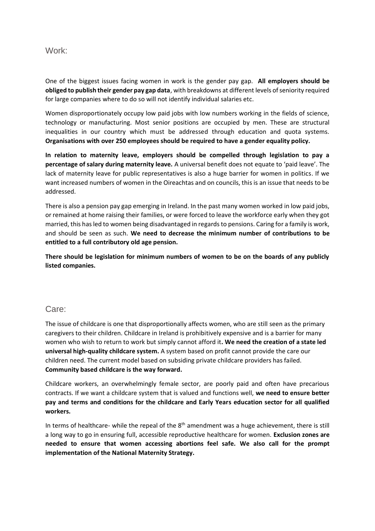#### Work:

One of the biggest issues facing women in work is the gender pay gap. **All employers should be obliged to publish their gender pay gap data**, with breakdowns at different levels of seniority required for large companies where to do so will not identify individual salaries etc.

Women disproportionately occupy low paid jobs with low numbers working in the fields of science, technology or manufacturing. Most senior positions are occupied by men. These are structural inequalities in our country which must be addressed through education and quota systems. **Organisations with over 250 employees should be required to have a gender equality policy.**

**In relation to maternity leave, employers should be compelled through legislation to pay a percentage of salary during maternity leave.** A universal benefit does not equate to 'paid leave'. The lack of maternity leave for public representatives is also a huge barrier for women in politics. If we want increased numbers of women in the Oireachtas and on councils, this is an issue that needs to be addressed.

There is also a pension pay gap emerging in Ireland. In the past many women worked in low paid jobs, or remained at home raising their families, or were forced to leave the workforce early when they got married, this has led to women being disadvantaged in regards to pensions. Caring for a family is work, and should be seen as such. **We need to decrease the minimum number of contributions to be entitled to a full contributory old age pension.**

**There should be legislation for minimum numbers of women to be on the boards of any publicly listed companies.**

### Care:

The issue of childcare is one that disproportionally affects women, who are still seen as the primary caregivers to their children. Childcare in Ireland is prohibitively expensive and is a barrier for many women who wish to return to work but simply cannot afford it**. We need the creation of a state led universal high-quality childcare system.** A system based on profit cannot provide the care our children need. The current model based on subsiding private childcare providers has failed. **Community based childcare is the way forward.**

Childcare workers, an overwhelmingly female sector, are poorly paid and often have precarious contracts. If we want a childcare system that is valued and functions well, **we need to ensure better pay and terms and conditions for the childcare and Early Years education sector for all qualified workers.**

In terms of healthcare- while the repeal of the  $8<sup>th</sup>$  amendment was a huge achievement, there is still a long way to go in ensuring full, accessible reproductive healthcare for women. **Exclusion zones are needed to ensure that women accessing abortions feel safe. We also call for the prompt implementation of the National Maternity Strategy.**